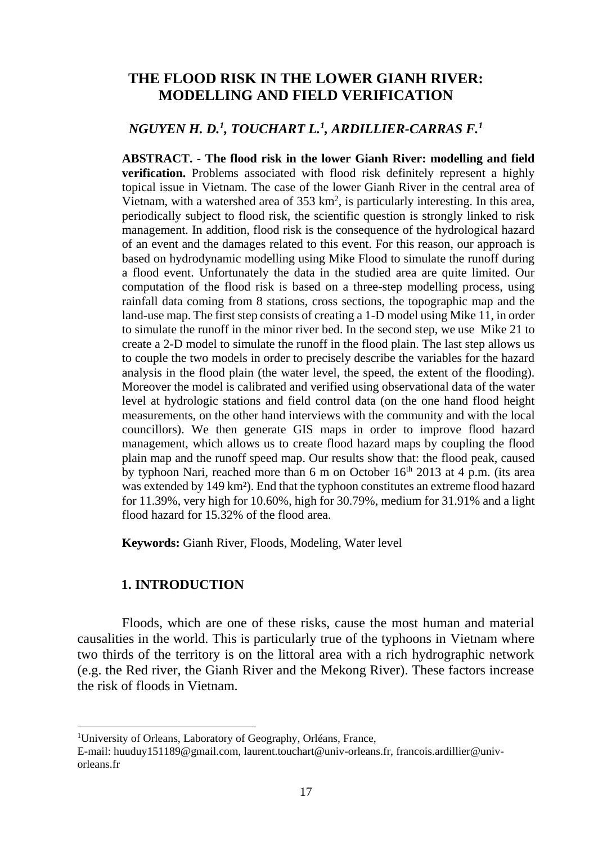# **THE FLOOD RISK IN THE LOWER GIANH RIVER: MODELLING AND FIELD VERIFICATION**

# *NGUYEN H. D.<sup>1</sup> , TOUCHART L.<sup>1</sup> , ARDILLIER-CARRAS F.<sup>1</sup>*

**ABSTRACT. - The flood risk in the lower Gianh River: modelling and field verification.** Problems associated with flood risk definitely represent a highly topical issue in Vietnam. The case of the lower Gianh River in the central area of Vietnam, with a watershed area of  $353 \text{ km}^2$ , is particularly interesting. In this area, periodically subject to flood risk, the scientific question is strongly linked to risk management. In addition, flood risk is the consequence of the hydrological hazard of an event and the damages related to this event. For this reason, our approach is based on hydrodynamic modelling using Mike Flood to simulate the runoff during a flood event. Unfortunately the data in the studied area are quite limited. Our computation of the flood risk is based on a three-step modelling process, using rainfall data coming from 8 stations, cross sections, the topographic map and the land-use map. The first step consists of creating a 1-D model using Mike 11, in order to simulate the runoff in the minor river bed. In the second step, we use Mike 21 to create a 2-D model to simulate the runoff in the flood plain. The last step allows us to couple the two models in order to precisely describe the variables for the hazard analysis in the flood plain (the water level, the speed, the extent of the flooding). Moreover the model is calibrated and verified using observational data of the water level at hydrologic stations and field control data (on the one hand flood height measurements, on the other hand interviews with the community and with the local councillors). We then generate GIS maps in order to improve flood hazard management, which allows us to create flood hazard maps by coupling the flood plain map and the runoff speed map. Our results show that: the flood peak, caused by typhoon Nari, reached more than  $6 \text{ m}$  on October  $16^{\text{th}}$  2013 at 4 p.m. (its area was extended by 149 km²). End that the typhoon constitutes an extreme flood hazard for 11.39%, very high for 10.60%, high for 30.79%, medium for 31.91% and a light flood hazard for 15.32% of the flood area.

**Keywords:** Gianh River, Floods, Modeling, Water level

## **1. INTRODUCTION**

Floods, which are one of these risks, cause the most human and material causalities in the world. This is particularly true of the typhoons in Vietnam where two thirds of the territory is on the littoral area with a rich hydrographic network (e.g. the Red river, the Gianh River and the Mekong River). These factors increase the risk of floods in Vietnam.

<sup>1</sup>University of Orleans, Laboratory of Geography, Orléans, France,

E-mail[: huuduy151189@gmail.com,](mailto:huuduy151189@gmail.com) [laurent.touchart@univ-orleans.fr, f](mailto:laurent.touchart@univ-orleans.fr)rancois.ardillier@univorleans.fr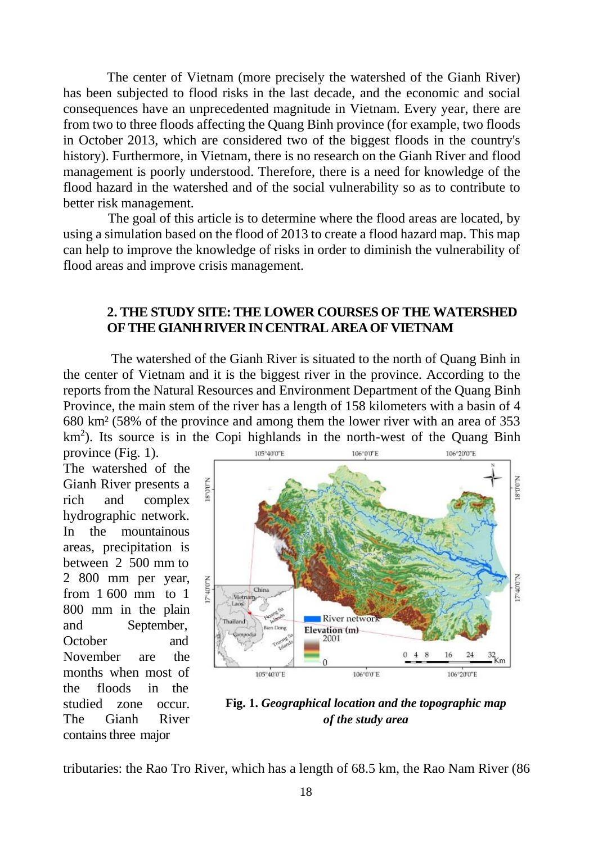The center of Vietnam (more precisely the watershed of the Gianh River) has been subjected to flood risks in the last decade, and the economic and social consequences have an unprecedented magnitude in Vietnam. Every year, there are from two to three floods affecting the Quang Binh province (for example, two floods in October 2013, which are considered two of the biggest floods in the country's history). Furthermore, in Vietnam, there is no research on the Gianh River and flood management is poorly understood. Therefore, there is a need for knowledge of the flood hazard in the watershed and of the social vulnerability so as to contribute to better risk management.

The goal of this article is to determine where the flood areas are located, by using a simulation based on the flood of 2013 to create a flood hazard map. This map can help to improve the knowledge of risks in order to diminish the vulnerability of flood areas and improve crisis management.

## **2. THE STUDY SITE: THE LOWER COURSES OF THE WATERSHED OFTHEGIANHRIVERIN CENTRAL AREAOF VIETNAM**

The watershed of the Gianh River is situated to the north of Quang Binh in the center of Vietnam and it is the biggest river in the province. According to the reports from the Natural Resources and Environment Department of the Quang Binh Province, the main stem of the river has a length of 158 kilometers with a basin of 4 680 km² (58% of the province and among them the lower river with an area of 353  $km<sup>2</sup>$ ). Its source is in the Copi highlands in the north-west of the Quang Binh

province (Fig. 1). The watershed of the Gianh River presents a rich and complex hydrographic network. In the mountainous areas, precipitation is between 2 500 mm to 2 800 mm per year, from 1 600 mm to 1 800 mm in the plain and September, October and November are the months when most of the floods in the studied zone occur. The Gianh River contains three major



**Fig. 1.** *Geographical location and the topographic map of the study area*

tributaries: the Rao Tro River, which has a length of 68.5 km, the Rao Nam River (86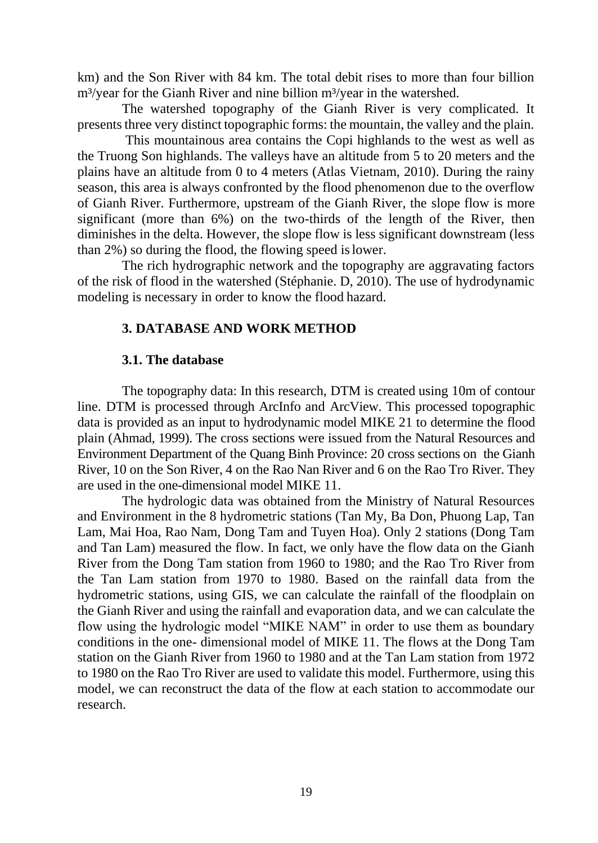km) and the Son River with 84 km. The total debit rises to more than four billion m<sup>3</sup>/year for the Gianh River and nine billion m<sup>3</sup>/year in the watershed.

The watershed topography of the Gianh River is very complicated. It presents three very distinct topographic forms: the mountain, the valley and the plain.

This mountainous area contains the Copi highlands to the west as well as the Truong Son highlands. The valleys have an altitude from 5 to 20 meters and the plains have an altitude from 0 to 4 meters (Atlas Vietnam, 2010). During the rainy season, this area is always confronted by the flood phenomenon due to the overflow of Gianh River. Furthermore, upstream of the Gianh River, the slope flow is more significant (more than 6%) on the two-thirds of the length of the River, then diminishes in the delta. However, the slope flow is less significant downstream (less than 2%) so during the flood, the flowing speed islower.

The rich hydrographic network and the topography are aggravating factors of the risk of flood in the watershed (Stéphanie. D, 2010). The use of hydrodynamic modeling is necessary in order to know the flood hazard.

## **3. DATABASE AND WORK METHOD**

#### **3.1. The database**

The topography data: In this research, DTM is created using 10m of contour line. DTM is processed through ArcInfo and ArcView. This processed topographic data is provided as an input to hydrodynamic model MIKE 21 to determine the flood plain (Ahmad, 1999). The cross sections were issued from the Natural Resources and Environment Department of the Quang Binh Province: 20 cross sections on the Gianh River, 10 on the Son River, 4 on the Rao Nan River and 6 on the Rao Tro River. They are used in the one-dimensional model MIKE 11.

The hydrologic data was obtained from the Ministry of Natural Resources and Environment in the 8 hydrometric stations (Tan My, Ba Don, Phuong Lap, Tan Lam, Mai Hoa, Rao Nam, Dong Tam and Tuyen Hoa). Only 2 stations (Dong Tam and Tan Lam) measured the flow. In fact, we only have the flow data on the Gianh River from the Dong Tam station from 1960 to 1980; and the Rao Tro River from the Tan Lam station from 1970 to 1980. Based on the rainfall data from the hydrometric stations, using GIS, we can calculate the rainfall of the floodplain on the Gianh River and using the rainfall and evaporation data, and we can calculate the flow using the hydrologic model "MIKE NAM" in order to use them as boundary conditions in the one- dimensional model of MIKE 11. The flows at the Dong Tam station on the Gianh River from 1960 to 1980 and at the Tan Lam station from 1972 to 1980 on the Rao Tro River are used to validate this model. Furthermore, using this model, we can reconstruct the data of the flow at each station to accommodate our research.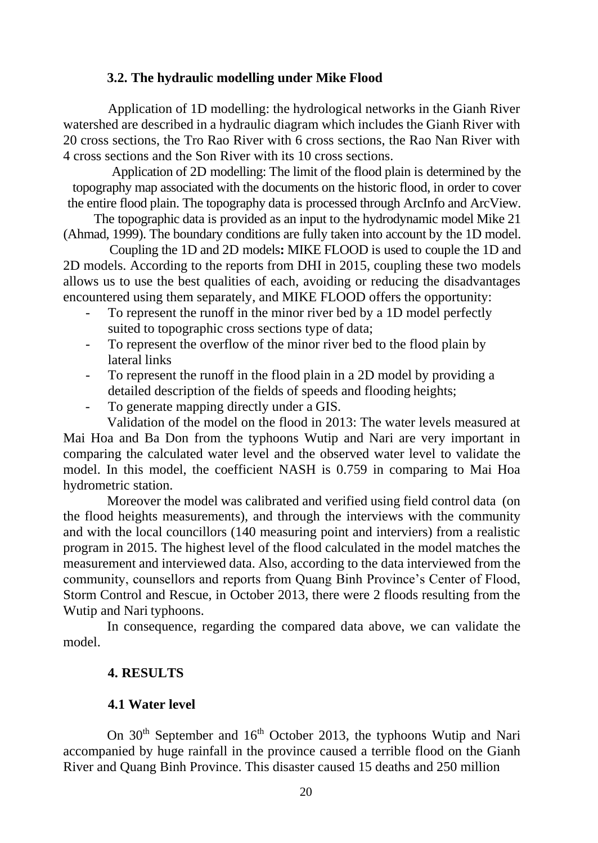#### **3.2. The hydraulic modelling under Mike Flood**

Application of 1D modelling: the hydrological networks in the Gianh River watershed are described in a hydraulic diagram which includes the Gianh River with 20 cross sections, the Tro Rao River with 6 cross sections, the Rao Nan River with 4 cross sections and the Son River with its 10 cross sections.

Application of 2D modelling: The limit of the flood plain is determined by the topography map associated with the documents on the historic flood, in order to cover the entire flood plain. The topography data is processed through ArcInfo and ArcView.

The topographic data is provided as an input to the hydrodynamic model Mike 21 (Ahmad, 1999). The boundary conditions are fully taken into account by the 1D model.

Coupling the 1D and 2D models**:** MIKE FLOOD is used to couple the 1D and 2D models. According to the reports from DHI in 2015, coupling these two models allows us to use the best qualities of each, avoiding or reducing the disadvantages encountered using them separately, and MIKE FLOOD offers the opportunity:

- To represent the runoff in the minor river bed by a 1D model perfectly suited to topographic cross sections type of data;
- To represent the overflow of the minor river bed to the flood plain by lateral links
- To represent the runoff in the flood plain in a 2D model by providing a detailed description of the fields of speeds and flooding heights;
- To generate mapping directly under a GIS.

Validation of the model on the flood in 2013: The water levels measured at Mai Hoa and Ba Don from the typhoons Wutip and Nari are very important in comparing the calculated water level and the observed water level to validate the model. In this model, the coefficient NASH is 0.759 in comparing to Mai Hoa hydrometric station.

Moreover the model was calibrated and verified using field control data (on the flood heights measurements), and through the interviews with the community and with the local councillors (140 measuring point and interviers) from a realistic program in 2015. The highest level of the flood calculated in the model matches the measurement and interviewed data. Also, according to the data interviewed from the community, counsellors and reports from Quang Binh Province's Center of Flood, Storm Control and Rescue, in October 2013, there were 2 floods resulting from the Wutip and Nari typhoons.

In consequence, regarding the compared data above, we can validate the model.

## **4. RESULTS**

## **4.1 Water level**

On 30<sup>th</sup> September and 16<sup>th</sup> October 2013, the typhoons Wutip and Nari accompanied by huge rainfall in the province caused a terrible flood on the Gianh River and Quang Binh Province. This disaster caused 15 deaths and 250 million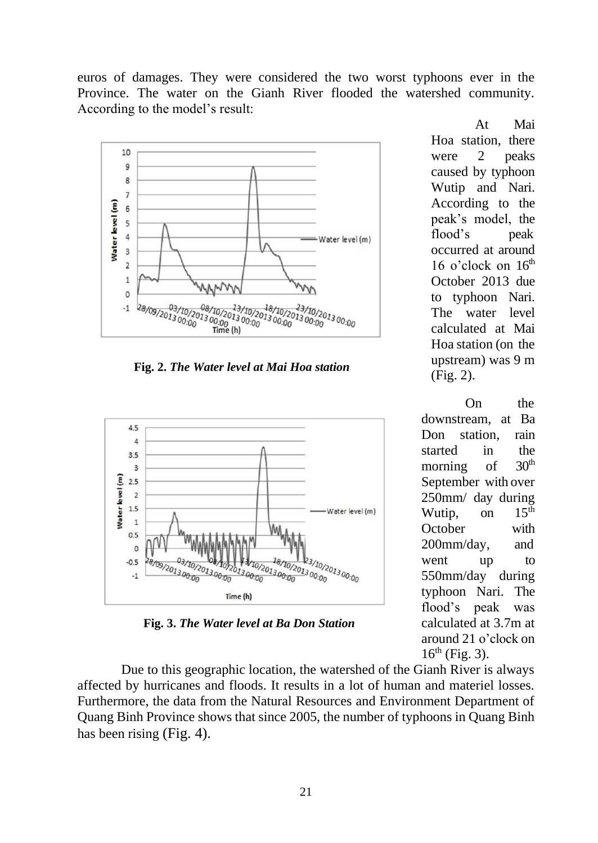euros of damages. They were considered the two worst typhoons ever in the Province. The water on the Gianh River flooded the watershed community. According to the model's result:



**Fig. 2.** *The Water level at Mai Hoa station*



**Fig. 3.** *The Water level at Ba Don Station*

At Mai Hoa station, there were 2 peaks caused by typhoon Wutip and Nari. According to the peak's model, the flood's peak occurred at around 16 o'clock on  $16<sup>th</sup>$ October 2013 due to typhoon Nari. The water level calculated at Mai Hoa station (on the upstream) was 9 m (Fig. 2).

On the downstream, at Ba Don station rain started in the morning of  $30<sup>th</sup>$ morning of September with over  $250$ mm/ day during<br>Wutin on  $15^{th}$ Wutip, on October with 200mm/day, and went up to 550mm/day during typhoon Nari. The flood's peak was calculated at 3.7m at around 21 o'clock on  $16^{th}$  (Fig. 3).

Due to this geographic location, the watershed of the Gianh River is always affected by hurricanes and floods. It results in a lot of human and materiel losses. Furthermore, the data from the Natural Resources and Environment Department of Quang Binh Province shows that since 2005, the number of typhoons in Quang Binh has been rising (Fig. 4).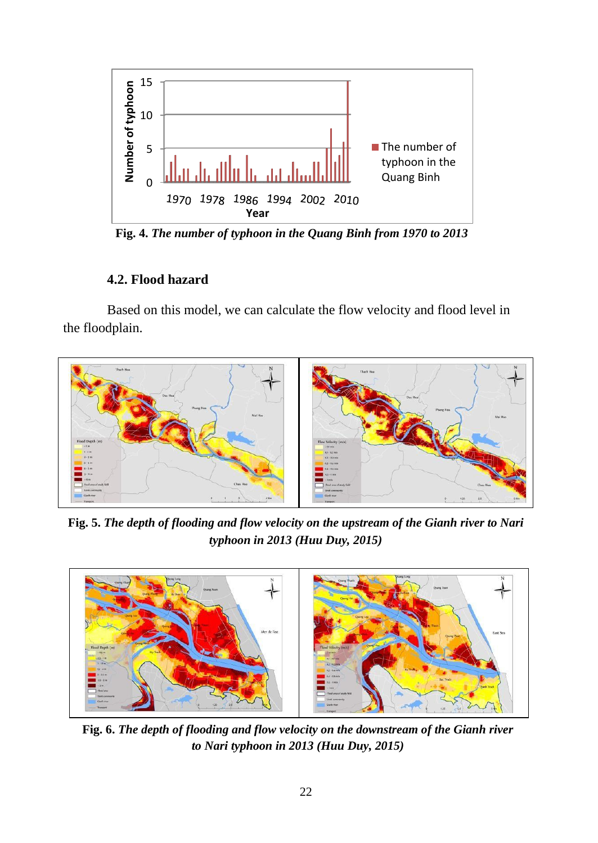

**Fig. 4.** *The number of typhoon in the Quang Binh from 1970 to 2013*

# **4.2. Flood hazard**

Based on this model, we can calculate the flow velocity and flood level in the floodplain.



**Fig. 5.** *The depth of flooding and flow velocity on the upstream of the Gianh river to Nari typhoon in 2013 (Huu Duy, 2015)*



**Fig. 6.** *The depth of flooding and flow velocity on the downstream of the Gianh river to Nari typhoon in 2013 (Huu Duy, 2015)*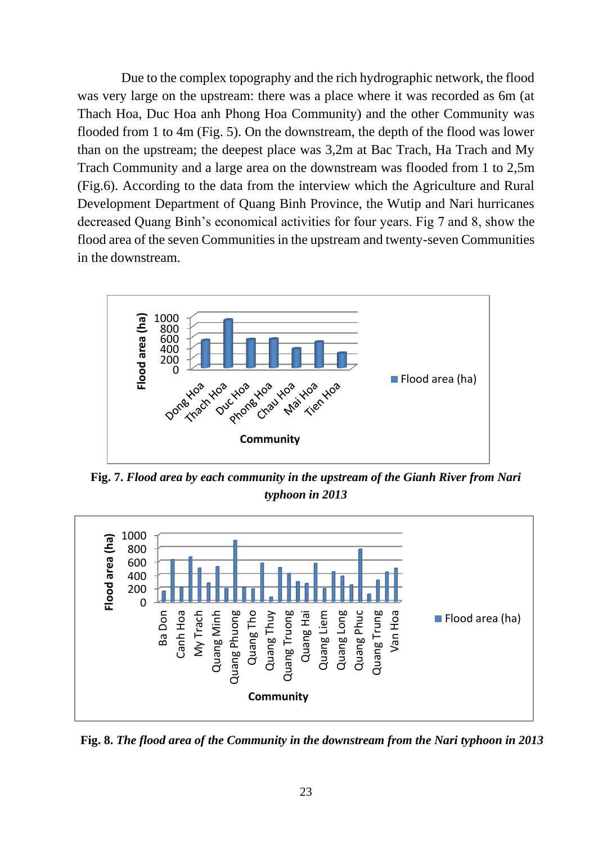Due to the complex topography and the rich hydrographic network, the flood was very large on the upstream: there was a place where it was recorded as 6m (at Thach Hoa, Duc Hoa anh Phong Hoa Community) and the other Community was flooded from 1 to 4m (Fig. 5). On the downstream, the depth of the flood was lower than on the upstream; the deepest place was 3,2m at Bac Trach, Ha Trach and My Trach Community and a large area on the downstream was flooded from 1 to 2,5m (Fig.6). According to the data from the interview which the Agriculture and Rural Development Department of Quang Binh Province, the Wutip and Nari hurricanes decreased Quang Binh's economical activities for four years. Fig 7 and 8, show the flood area of the seven Communities in the upstream and twenty-seven Communities in the downstream.



**Fig. 7.** *Flood area by each community in the upstream of the Gianh River from Nari typhoon in 2013*



**Fig. 8.** *The flood area of the Community in the downstream from the Nari typhoon in 2013*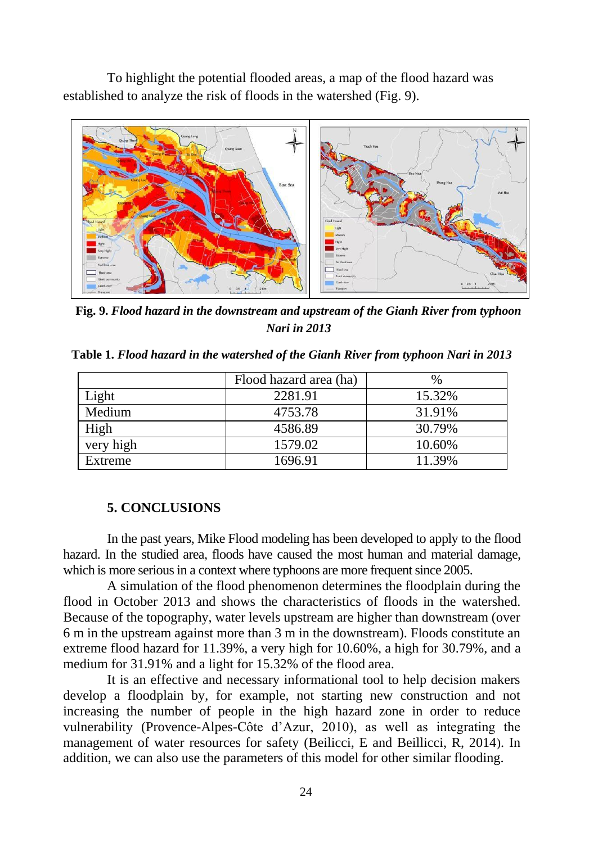To highlight the potential flooded areas, a map of the flood hazard was established to analyze the risk of floods in the watershed (Fig. 9).



**Fig. 9.** *Flood hazard in the downstream and upstream of the Gianh River from typhoon Nari in 2013*

|  | Table 1. Flood hazard in the watershed of the Gianh River from typhoon Nari in 2013 |  |
|--|-------------------------------------------------------------------------------------|--|
|--|-------------------------------------------------------------------------------------|--|

|           | Flood hazard area (ha) | $\frac{0}{0}$ |
|-----------|------------------------|---------------|
| Light     | 2281.91                | 15.32%        |
| Medium    | 4753.78                | 31.91%        |
| High      | 4586.89                | 30.79%        |
| very high | 1579.02                | 10.60%        |
| Extreme   | 1696.91                | 11.39%        |

#### **5. CONCLUSIONS**

In the past years, Mike Flood modeling has been developed to apply to the flood hazard. In the studied area, floods have caused the most human and material damage, which is more serious in a context where typhoons are more frequent since 2005.

A simulation of the flood phenomenon determines the floodplain during the flood in October 2013 and shows the characteristics of floods in the watershed. Because of the topography, water levels upstream are higher than downstream (over 6 m in the upstream against more than 3 m in the downstream). Floods constitute an extreme flood hazard for 11.39%, a very high for 10.60%, a high for 30.79%, and a medium for 31.91% and a light for 15.32% of the flood area.

It is an effective and necessary informational tool to help decision makers develop a floodplain by, for example, not starting new construction and not increasing the number of people in the high hazard zone in order to reduce vulnerability (Provence-Alpes-Côte d'Azur, 2010), as well as integrating the management of water resources for safety (Beilicci, E and Beillicci, R, 2014). In addition, we can also use the parameters of this model for other similar flooding.